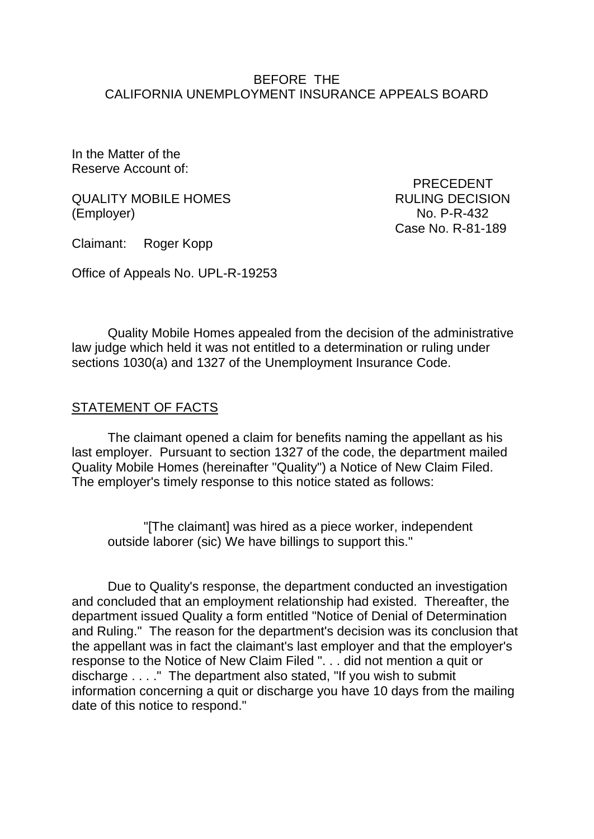### BEFORE THE CALIFORNIA UNEMPLOYMENT INSURANCE APPEALS BOARD

In the Matter of the Reserve Account of:

QUALITY MOBILE HOMES RULING DECISION (Employer) No. P-R-432

Claimant: Roger Kopp

Case No. R-81-189

PRECEDENT

Office of Appeals No. UPL-R-19253

Quality Mobile Homes appealed from the decision of the administrative law judge which held it was not entitled to a determination or ruling under sections 1030(a) and 1327 of the Unemployment Insurance Code.

## STATEMENT OF FACTS

The claimant opened a claim for benefits naming the appellant as his last employer. Pursuant to section 1327 of the code, the department mailed Quality Mobile Homes (hereinafter "Quality") a Notice of New Claim Filed. The employer's timely response to this notice stated as follows:

"[The claimant] was hired as a piece worker, independent outside laborer (sic) We have billings to support this."

Due to Quality's response, the department conducted an investigation and concluded that an employment relationship had existed. Thereafter, the department issued Quality a form entitled "Notice of Denial of Determination and Ruling." The reason for the department's decision was its conclusion that the appellant was in fact the claimant's last employer and that the employer's response to the Notice of New Claim Filed ". . . did not mention a quit or discharge . . . ." The department also stated, "If you wish to submit information concerning a quit or discharge you have 10 days from the mailing date of this notice to respond."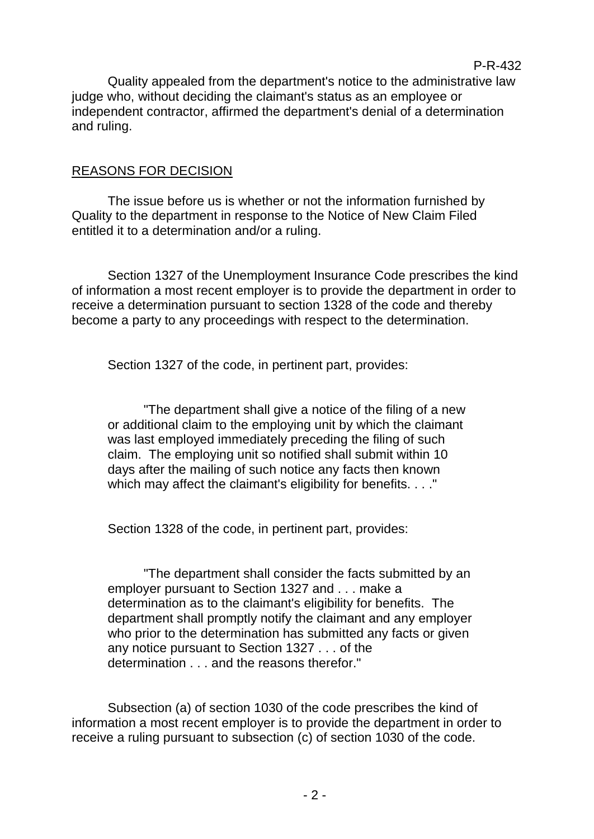Quality appealed from the department's notice to the administrative law judge who, without deciding the claimant's status as an employee or independent contractor, affirmed the department's denial of a determination and ruling.

P-R-432

#### REASONS FOR DECISION

The issue before us is whether or not the information furnished by Quality to the department in response to the Notice of New Claim Filed entitled it to a determination and/or a ruling.

Section 1327 of the Unemployment Insurance Code prescribes the kind of information a most recent employer is to provide the department in order to receive a determination pursuant to section 1328 of the code and thereby become a party to any proceedings with respect to the determination.

Section 1327 of the code, in pertinent part, provides:

"The department shall give a notice of the filing of a new or additional claim to the employing unit by which the claimant was last employed immediately preceding the filing of such claim. The employing unit so notified shall submit within 10 days after the mailing of such notice any facts then known which may affect the claimant's eligibility for benefits. . . ."

Section 1328 of the code, in pertinent part, provides:

"The department shall consider the facts submitted by an employer pursuant to Section 1327 and . . . make a determination as to the claimant's eligibility for benefits. The department shall promptly notify the claimant and any employer who prior to the determination has submitted any facts or given any notice pursuant to Section 1327 . . . of the determination . . . and the reasons therefor."

Subsection (a) of section 1030 of the code prescribes the kind of information a most recent employer is to provide the department in order to receive a ruling pursuant to subsection (c) of section 1030 of the code.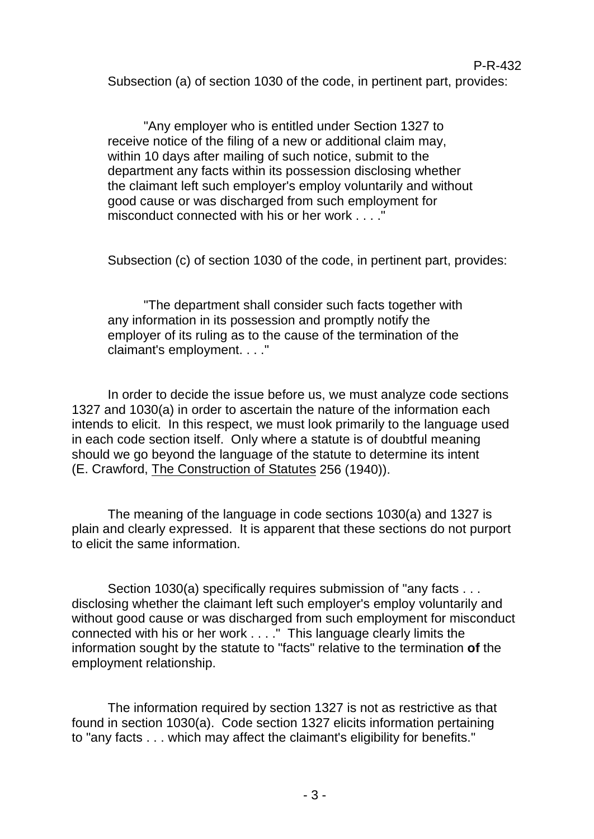Subsection (a) of section 1030 of the code, in pertinent part, provides:

"Any employer who is entitled under Section 1327 to receive notice of the filing of a new or additional claim may, within 10 days after mailing of such notice, submit to the department any facts within its possession disclosing whether the claimant left such employer's employ voluntarily and without good cause or was discharged from such employment for misconduct connected with his or her work . . . ."

Subsection (c) of section 1030 of the code, in pertinent part, provides:

"The department shall consider such facts together with any information in its possession and promptly notify the employer of its ruling as to the cause of the termination of the claimant's employment. . . ."

In order to decide the issue before us, we must analyze code sections 1327 and 1030(a) in order to ascertain the nature of the information each intends to elicit. In this respect, we must look primarily to the language used in each code section itself. Only where a statute is of doubtful meaning should we go beyond the language of the statute to determine its intent (E. Crawford, The Construction of Statutes 256 (1940)).

The meaning of the language in code sections 1030(a) and 1327 is plain and clearly expressed. It is apparent that these sections do not purport to elicit the same information.

Section 1030(a) specifically requires submission of "any facts . . . disclosing whether the claimant left such employer's employ voluntarily and without good cause or was discharged from such employment for misconduct connected with his or her work . . . ." This language clearly limits the information sought by the statute to "facts" relative to the termination **of** the employment relationship.

The information required by section 1327 is not as restrictive as that found in section 1030(a). Code section 1327 elicits information pertaining to "any facts . . . which may affect the claimant's eligibility for benefits."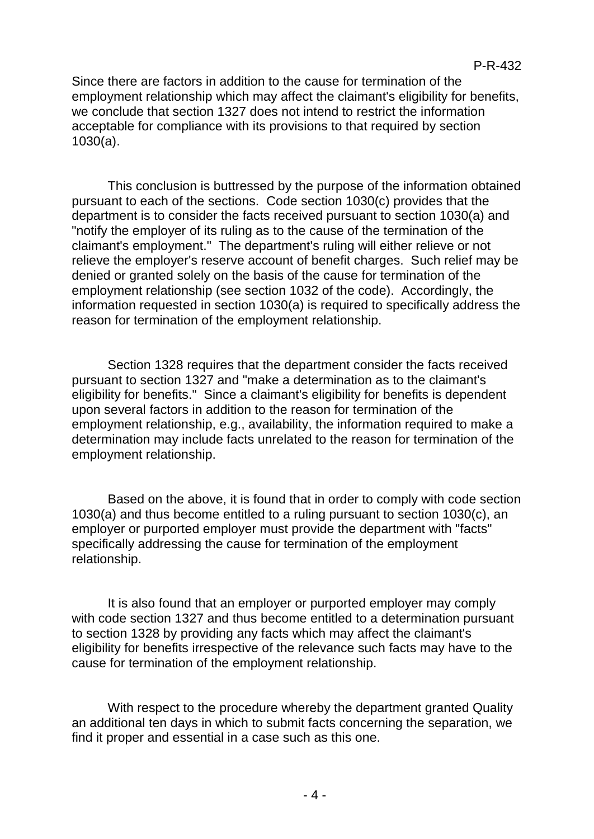Since there are factors in addition to the cause for termination of the employment relationship which may affect the claimant's eligibility for benefits, we conclude that section 1327 does not intend to restrict the information acceptable for compliance with its provisions to that required by section 1030(a).

This conclusion is buttressed by the purpose of the information obtained pursuant to each of the sections. Code section 1030(c) provides that the department is to consider the facts received pursuant to section 1030(a) and "notify the employer of its ruling as to the cause of the termination of the claimant's employment." The department's ruling will either relieve or not relieve the employer's reserve account of benefit charges. Such relief may be denied or granted solely on the basis of the cause for termination of the employment relationship (see section 1032 of the code). Accordingly, the information requested in section 1030(a) is required to specifically address the reason for termination of the employment relationship.

Section 1328 requires that the department consider the facts received pursuant to section 1327 and "make a determination as to the claimant's eligibility for benefits." Since a claimant's eligibility for benefits is dependent upon several factors in addition to the reason for termination of the employment relationship, e.g., availability, the information required to make a determination may include facts unrelated to the reason for termination of the employment relationship.

Based on the above, it is found that in order to comply with code section 1030(a) and thus become entitled to a ruling pursuant to section 1030(c), an employer or purported employer must provide the department with "facts" specifically addressing the cause for termination of the employment relationship.

It is also found that an employer or purported employer may comply with code section 1327 and thus become entitled to a determination pursuant to section 1328 by providing any facts which may affect the claimant's eligibility for benefits irrespective of the relevance such facts may have to the cause for termination of the employment relationship.

With respect to the procedure whereby the department granted Quality an additional ten days in which to submit facts concerning the separation, we find it proper and essential in a case such as this one.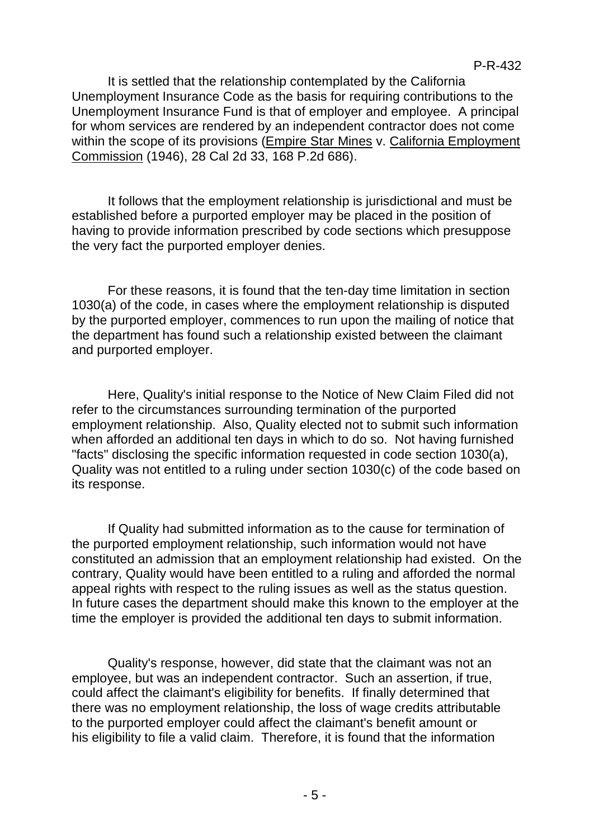It is settled that the relationship contemplated by the California Unemployment Insurance Code as the basis for requiring contributions to the Unemployment Insurance Fund is that of employer and employee. A principal for whom services are rendered by an independent contractor does not come within the scope of its provisions (Empire Star Mines v. California Employment Commission (1946), 28 Cal 2d 33, 168 P.2d 686).

It follows that the employment relationship is jurisdictional and must be established before a purported employer may be placed in the position of having to provide information prescribed by code sections which presuppose the very fact the purported employer denies.

For these reasons, it is found that the ten-day time limitation in section 1030(a) of the code, in cases where the employment relationship is disputed by the purported employer, commences to run upon the mailing of notice that the department has found such a relationship existed between the claimant and purported employer.

Here, Quality's initial response to the Notice of New Claim Filed did not refer to the circumstances surrounding termination of the purported employment relationship. Also, Quality elected not to submit such information when afforded an additional ten days in which to do so. Not having furnished "facts" disclosing the specific information requested in code section 1030(a), Quality was not entitled to a ruling under section 1030(c) of the code based on its response.

If Quality had submitted information as to the cause for termination of the purported employment relationship, such information would not have constituted an admission that an employment relationship had existed. On the contrary, Quality would have been entitled to a ruling and afforded the normal appeal rights with respect to the ruling issues as well as the status question. In future cases the department should make this known to the employer at the time the employer is provided the additional ten days to submit information.

Quality's response, however, did state that the claimant was not an employee, but was an independent contractor. Such an assertion, if true, could affect the claimant's eligibility for benefits. If finally determined that there was no employment relationship, the loss of wage credits attributable to the purported employer could affect the claimant's benefit amount or his eligibility to file a valid claim. Therefore, it is found that the information